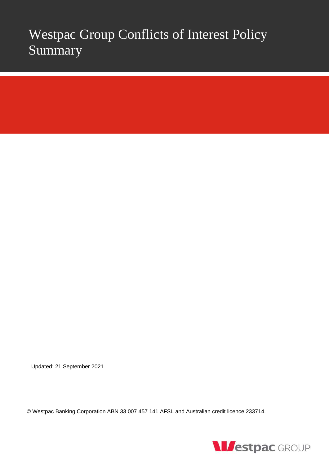# Westpac Group Conflicts of Interest Policy Summary

Updated: 21 September 2021

© Westpac Banking Corporation ABN 33 007 457 141 AFSL and Australian credit licence 233714.

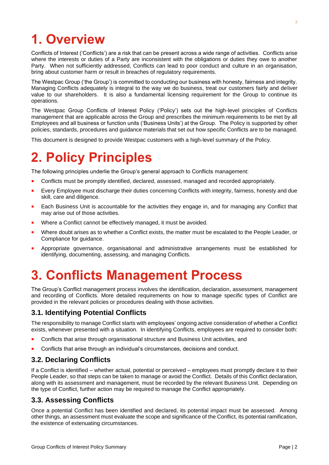## **1. Overview**

Conflicts of Interest ('Conflicts') are a risk that can be present across a wide range of activities. Conflicts arise where the interests or duties of a Party are inconsistent with the obligations or duties they owe to another Party. When not sufficiently addressed, Conflicts can lead to poor conduct and culture in an organisation, bring about customer harm or result in breaches of regulatory requirements.

The Westpac Group ('the Group') is committed to conducting our business with honesty, fairness and integrity. Managing Conflicts adequately is integral to the way we do business, treat our customers fairly and deliver value to our shareholders. It is also a fundamental licensing requirement for the Group to continue its operations.

The Westpac Group Conflicts of Interest Policy ('Policy') sets out the high-level principles of Conflicts management that are applicable across the Group and prescribes the minimum requirements to be met by all Employees and all business or function units ('Business Units') at the Group. The Policy is supported by other policies, standards, procedures and guidance materials that set out how specific Conflicts are to be managed.

This document is designed to provide Westpac customers with a high-level summary of the Policy.

# **2. Policy Principles**

The following principles underlie the Group's general approach to Conflicts management:

- **Conflicts must be promptly identified, declared, assessed, managed and recorded appropriately.**
- Every Employee must discharge their duties concerning Conflicts with integrity, fairness, honesty and due skill, care and diligence.
- Each Business Unit is accountable for the activities they engage in, and for managing any Conflict that may arise out of those activities.
- Where a Conflict cannot be effectively managed, it must be avoided.
- Where doubt arises as to whether a Conflict exists, the matter must be escalated to the People Leader, or Compliance for guidance.
- Appropriate governance, organisational and administrative arrangements must be established for identifying, documenting, assessing, and managing Conflicts.

## **3. Conflicts Management Process**

The Group's Conflict management process involves the identification, declaration, assessment, management and recording of Conflicts. More detailed requirements on how to manage specific types of Conflict are provided in the relevant policies or procedures dealing with those activities.

## **3.1. Identifying Potential Conflicts**

The responsibility to manage Conflict starts with employees' ongoing active consideration of whether a Conflict exists, whenever presented with a situation. In identifying Conflicts, employees are required to consider both:

- Conflicts that arise through organisational structure and Business Unit activities, and
- Conflicts that arise through an individual's circumstances, decisions and conduct.

#### **3.2. Declaring Conflicts**

If a Conflict is identified – whether actual, potential or perceived – employees must promptly declare it to their People Leader, so that steps can be taken to manage or avoid the Conflict. Details of this Conflict declaration, along with its assessment and management, must be recorded by the relevant Business Unit. Depending on the type of Conflict, further action may be required to manage the Conflict appropriately.

#### **3.3. Assessing Conflicts**

Once a potential Conflict has been identified and declared, its potential impact must be assessed. Among other things, an assessment must evaluate the scope and significance of the Conflict, its potential ramification, the existence of extenuating circumstances.